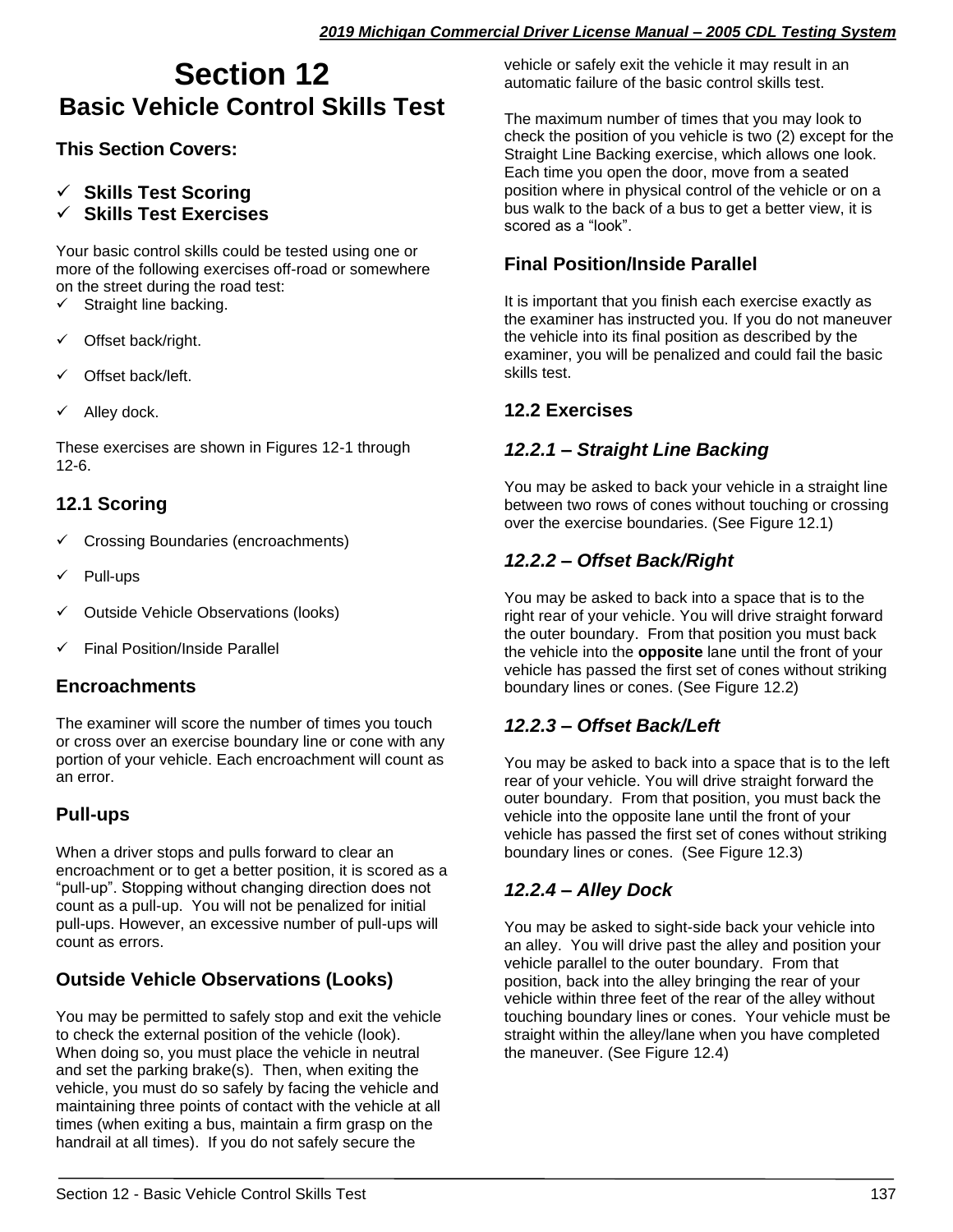# **Section 12 Basic Vehicle Control Skills Test**

#### **This Section Covers:**

# ✓ **Skills Test Scoring**

**Skills Test Exercises** 

Your basic control skills could be tested using one or more of the following exercises off-road or somewhere on the street during the road test:

- $\checkmark$  Straight line backing.
- ✓ Offset back/right.
- Offset back/left.
- Alley dock.

These exercises are shown in Figures 12-1 through 12-6.

# **12.1 Scoring**

- ✓ Crossing Boundaries (encroachments)
- Pull-ups
- ✓ Outside Vehicle Observations (looks)
- **Final Position/Inside Parallel**

#### **Encroachments**

The examiner will score the number of times you touch or cross over an exercise boundary line or cone with any portion of your vehicle. Each encroachment will count as an error.

# **Pull-ups**

When a driver stops and pulls forward to clear an encroachment or to get a better position, it is scored as a "pull-up". Stopping without changing direction does not count as a pull-up. You will not be penalized for initial pull-ups. However, an excessive number of pull-ups will count as errors.

# **Outside Vehicle Observations (Looks)**

You may be permitted to safely stop and exit the vehicle to check the external position of the vehicle (look). When doing so, you must place the vehicle in neutral and set the parking brake(s). Then, when exiting the vehicle, you must do so safely by facing the vehicle and maintaining three points of contact with the vehicle at all times (when exiting a bus, maintain a firm grasp on the handrail at all times). If you do not safely secure the

vehicle or safely exit the vehicle it may result in an automatic failure of the basic control skills test.

The maximum number of times that you may look to check the position of you vehicle is two (2) except for the Straight Line Backing exercise, which allows one look. Each time you open the door, move from a seated position where in physical control of the vehicle or on a bus walk to the back of a bus to get a better view, it is scored as a "look".

# **Final Position/Inside Parallel**

It is important that you finish each exercise exactly as the examiner has instructed you. If you do not maneuver the vehicle into its final position as described by the examiner, you will be penalized and could fail the basic skills test.

# **12.2 Exercises**

#### *12.2.1 – Straight Line Backing*

You may be asked to back your vehicle in a straight line between two rows of cones without touching or crossing over the exercise boundaries. (See Figure 12.1)

#### *12.2.2 – Offset Back/Right*

You may be asked to back into a space that is to the right rear of your vehicle. You will drive straight forward the outer boundary. From that position you must back the vehicle into the **opposite** lane until the front of your vehicle has passed the first set of cones without striking boundary lines or cones. (See Figure 12.2)

# *12.2.3 – Offset Back/Left*

You may be asked to back into a space that is to the left rear of your vehicle. You will drive straight forward the outer boundary. From that position, you must back the vehicle into the opposite lane until the front of your vehicle has passed the first set of cones without striking boundary lines or cones. (See Figure 12.3)

# *12.2.4 – Alley Dock*

You may be asked to sight-side back your vehicle into an alley. You will drive past the alley and position your vehicle parallel to the outer boundary. From that position, back into the alley bringing the rear of your vehicle within three feet of the rear of the alley without touching boundary lines or cones. Your vehicle must be straight within the alley/lane when you have completed the maneuver. (See Figure 12.4)